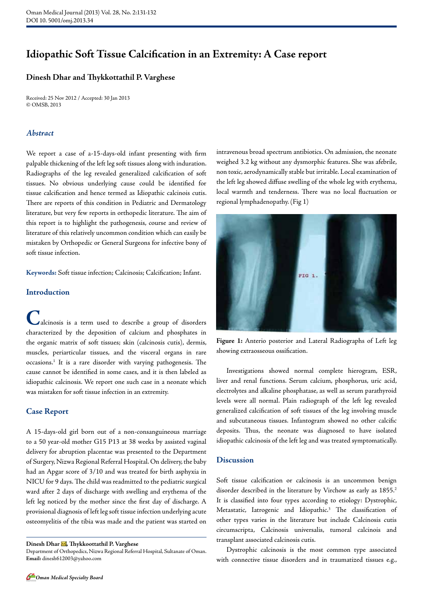# **Idiopathic Soft Tissue Calcification in an Extremity: A Case report**

## **Dinesh Dhar and Thykkottathil P. Varghese**

Received: 25 Nov 2012 / Accepted: 30 Jan 2013 © OMSB, 2013

#### *Abstract*

We report a case of a-15-days-old infant presenting with firm palpable thickening of the left leg soft tissues along with induration. Radiographs of the leg revealed generalized calcification of soft tissues. No obvious underlying cause could be identified for tissue calcification and hence termed as Idiopathic calcinois cutis. There are reports of this condition in Pediatric and Dermatology literature, but very few reports in orthopedic literature. The aim of this report is to highlight the pathogenesis, course and review of literature of this relatively uncommon condition which can easily be mistaken by Orthopedic or General Surgeons for infective bony of soft tissue infection.

**Keywords:** Soft tissue infection; Calcinosis; Calcification; Infant.

## **Introduction**

**C**alcinosis is a term used to describe a group of disorders characterized by the deposition of calcium and phosphates in the organic matrix of soft tissues; skin (calcinosis cutis), dermis, muscles, periarticular tissues, and the visceral organs in rare occasions.1 It is a rare disorder with varying pathogenesis. The cause cannot be identified in some cases, and it is then labeled as idiopathic calcinosis. We report one such case in a neonate which was mistaken for soft tissue infection in an extremity.

#### **Case Report**

A 15-days-old girl born out of a non-consanguineous marriage to a 50 year-old mother G15 P13 at 38 weeks by assisted vaginal delivery for abruption placentae was presented to the Department of Surgery, Nizwa Regional Referral Hospital. On delivery, the baby had an Apgar score of 3/10 and was treated for birth asphyxia in NICU for 9 days. The child was readmitted to the pediatric surgical ward after 2 days of discharge with swelling and erythema of the left leg noticed by the mother since the first day of discharge. A provisional diagnosis of left leg soft tissue infection underlying acute osteomyelitis of the tibia was made and the patient was started on

Dinesh Dhar **M**, Thykkoottathil P. Varghese

Department of Orthopedics, Nizwa Regional Referral Hospital, Sultanate of Oman. **Email:** dinesh612003@yahoo.com

intravenous broad spectrum antibiotics. On admission, the neonate weighed 3.2 kg without any dysmorphic features. She was afebrile, non toxic, aerodynamically stable but irritable. Local examination of the left leg showed diffuse swelling of the whole leg with erythema, local warmth and tenderness. There was no local fluctuation or regional lymphadenopathy. (Fig 1)



**Figure 1:** Anterio posterior and Lateral Radiographs of Left leg showing extraosseous ossification.

Investigations showed normal complete hierogram, ESR, liver and renal functions. Serum calcium, phosphorus, uric acid, electrolytes and alkaline phosphatase, as well as serum parathyroid levels were all normal. Plain radiograph of the left leg revealed generalized calcification of soft tissues of the leg involving muscle and subcutaneous tissues. Infantogram showed no other calcific deposits. Thus, the neonate was diagnosed to have isolated idiopathic calcinosis of the left leg and was treated symptomatically.

#### **Discussion**

Soft tissue calcification or calcinosis is an uncommon benign disorder described in the literature by Virchow as early as 1855.<sup>2</sup> It is classified into four types according to etiology: Dystrophic, Metastatic, Iatrogenic and Idiopathic.<sup>3</sup> The classification of other types varies in the literature but include Calcinosis cutis circumscripta, Calcinosis universalis, tumoral calcinois and transplant associated calcinosis cutis.

Dystrophic calcinosis is the most common type associated with connective tissue disorders and in traumatized tissues e.g.,